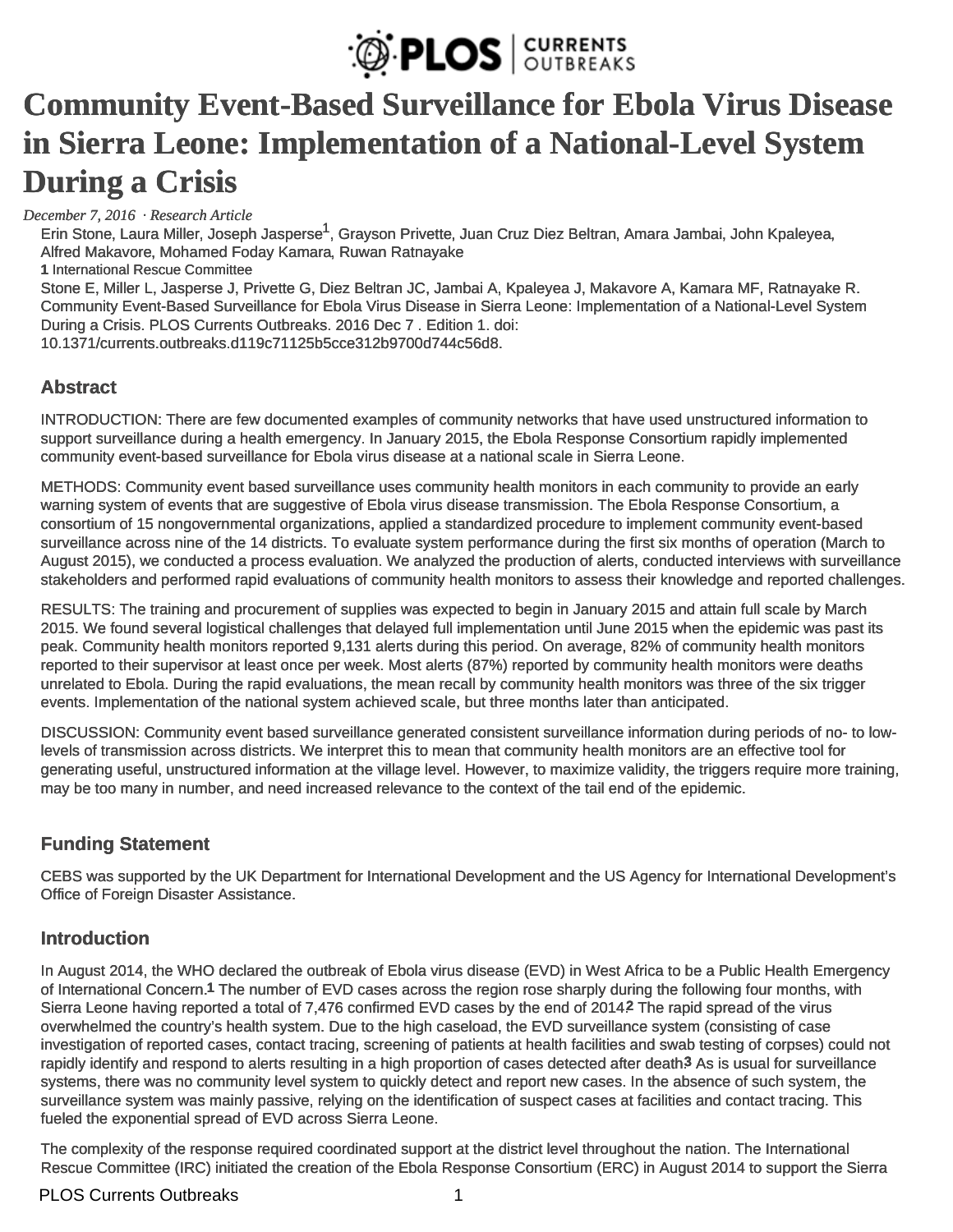

# **[Community Event-Based Surveillance for Ebola Virus Disease](http://currents.plos.org/outbreaks/article/community-event-based-surveillance-for-ebola-virus-disease-in-sierra-leone-implementation-of-a-national-level-system-during-a-crisis/)  [in Sierra Leone: Implementation of a National-Level System](http://currents.plos.org/outbreaks/article/community-event-based-surveillance-for-ebola-virus-disease-in-sierra-leone-implementation-of-a-national-level-system-during-a-crisis/)  [During a Crisis](http://currents.plos.org/outbreaks/article/community-event-based-surveillance-for-ebola-virus-disease-in-sierra-leone-implementation-of-a-national-level-system-during-a-crisis/)**

*December 7, 2016 · [Research Article](http://currents.plos.org/outbreaks/article_category/research-article/)*

[Erin Stone,](http://currents.plos.org/outbreaks/author/erin-stonerescue-org/) [Laura Miller](http://currents.plos.org/outbreaks/author/lauramiller720/), [Joseph Jasperse](http://currents.plos.org/outbreaks/author/joejaspersegmail-com/)<sup>1</sup>, [Grayson Privette](http://currents.plos.org/outbreaks/author/grayson-privettegmail-com/), [Juan Cruz Diez Beltran,](http://currents.plos.org/outbreaks/author/juan-diezsavethechildren-org/) [Amara Jambai](http://currents.plos.org/outbreaks/author/amarajambaiyahoo-com/), [John Kpaleyea,](http://currents.plos.org/outbreaks/author/john-kpaleyearescue-org/) [Alfred Makavore](http://currents.plos.org/outbreaks/author/alfred-makavorecare-org/), [Mohamed Foday Kamara,](http://currents.plos.org/outbreaks/author/mfkam2000yahoo-com/) [Ruwan Ratnayake](http://currents.plos.org/outbreaks/author/ruwan-ratnayakerescue-org/) **1** International Rescue Committee Stone E, Miller L, Jasperse J, Privette G, Diez Beltran JC, Jambai A, Kpaleyea J, Makavore A, Kamara MF, Ratnayake R. Community Event-Based Surveillance for Ebola Virus Disease in Sierra Leone: Implementation of a National-Level System During a Crisis. PLOS Currents Outbreaks. 2016 Dec 7 . Edition 1. doi: 10.1371/currents.outbreaks.d119c71125b5cce312b9700d744c56d8.

# **Abstract**

INTRODUCTION: There are few documented examples of community networks that have used unstructured information to support surveillance during a health emergency. In January 2015, the Ebola Response Consortium rapidly implemented community event-based surveillance for Ebola virus disease at a national scale in Sierra Leone.

METHODS: Community event based surveillance uses community health monitors in each community to provide an early warning system of events that are suggestive of Ebola virus disease transmission. The Ebola Response Consortium, a consortium of 15 nongovernmental organizations, applied a standardized procedure to implement community event-based surveillance across nine of the 14 districts. To evaluate system performance during the first six months of operation (March to August 2015), we conducted a process evaluation. We analyzed the production of alerts, conducted interviews with surveillance stakeholders and performed rapid evaluations of community health monitors to assess their knowledge and reported challenges.

RESULTS: The training and procurement of supplies was expected to begin in January 2015 and attain full scale by March 2015. We found several logistical challenges that delayed full implementation until June 2015 when the epidemic was past its peak. Community health monitors reported 9,131 alerts during this period. On average, 82% of community health monitors reported to their supervisor at least once per week. Most alerts (87%) reported by community health monitors were deaths unrelated to Ebola. During the rapid evaluations, the mean recall by community health monitors was three of the six trigger events. Implementation of the national system achieved scale, but three months later than anticipated.

DISCUSSION: Community event based surveillance generated consistent surveillance information during periods of no- to lowlevels of transmission across districts. We interpret this to mean that community health monitors are an effective tool for generating useful, unstructured information at the village level. However, to maximize validity, the triggers require more training, may be too many in number, and need increased relevance to the context of the tail end of the epidemic.

# **Funding Statement**

CEBS was supported by the UK Department for International Development and the US Agency for International Development's Office of Foreign Disaster Assistance.

## **Introduction**

In August 2014, the WHO declared the outbreak of Ebola virus disease (EVD) in West Africa to be a Public Health Emergency of International Concern.**1** The number of EVD cases across the region rose sharply during the following four months, with Sierra Leone having reported a total of 7,476 confirmed EVD cases by the end of 2014.**2** The rapid spread of the virus overwhelmed the country's health system. Due to the high caseload, the EVD surveillance system (consisting of case investigation of reported cases, contact tracing, screening of patients at health facilities and swab testing of corpses) could not rapidly identify and respond to alerts resulting in a high proportion of cases detected after death<sup>3</sup> As is usual for surveillance systems, there was no community level system to quickly detect and report new cases. In the absence of such system, the surveillance system was mainly passive, relying on the identification of suspect cases at facilities and contact tracing. This fueled the exponential spread of EVD across Sierra Leone.

The complexity of the response required coordinated support at the district level throughout the nation. The International Rescue Committee (IRC) initiated the creation of the Ebola Response Consortium (ERC) in August 2014 to support the Sierra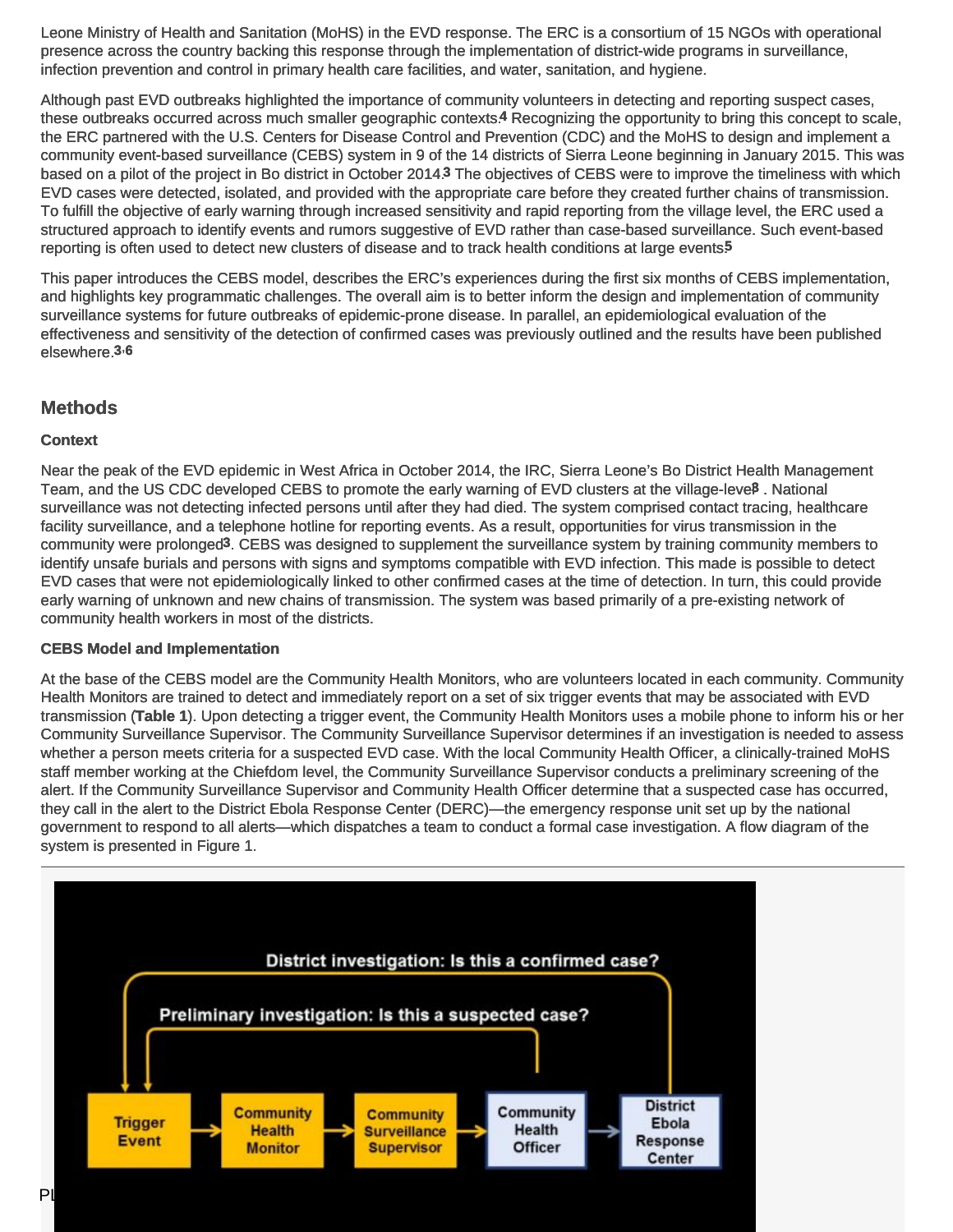Leone Ministry of Health and Sanitation (MoHS) in the EVD response. The ERC is a consortium of 15 NGOs with operational presence across the country backing this response through the implementation of district-wide programs in surveillance, infection prevention and control in primary health care facilities, and water, sanitation, and hygiene.

Although past EVD outbreaks highlighted the importance of community volunteers in detecting and reporting suspect cases, these outbreaks occurred across much smaller geographic contexts.**4** Recognizing the opportunity to bring this concept to scale, the ERC partnered with the U.S. Centers for Disease Control and Prevention (CDC) and the MoHS to design and implement a community event-based surveillance (CEBS) system in 9 of the 14 districts of Sierra Leone beginning in January 2015. This was based on a pilot of the project in Bo district in October 2014.**3** The objectives of CEBS were to improve the timeliness with which EVD cases were detected, isolated, and provided with the appropriate care before they created further chains of transmission. To fulfill the objective of early warning through increased sensitivity and rapid reporting from the village level, the ERC used a structured approach to identify events and rumors suggestive of EVD rather than case-based surveillance. Such event-based reporting is often used to detect new clusters of disease and to track health conditions at large events.**5**

This paper introduces the CEBS model, describes the ERC's experiences during the first six months of CEBS implementation, and highlights key programmatic challenges. The overall aim is to better inform the design and implementation of community surveillance systems for future outbreaks of epidemic-prone disease. In parallel, an epidemiological evaluation of the effectiveness and sensitivity of the detection of confirmed cases was previously outlined and the results have been published elsewhere.**3**,**<sup>6</sup>**

### **Methods**

#### **Context**

Near the peak of the EVD epidemic in West Africa in October 2014, the IRC, Sierra Leone's Bo District Health Management Team, and the US CDC developed CEBS to promote the early warning of EVD clusters at the village-level**3** . National surveillance was not detecting infected persons until after they had died. The system comprised contact tracing, healthcare facility surveillance, and a telephone hotline for reporting events. As a result, opportunities for virus transmission in the community were prolonged**3**. CEBS was designed to supplement the surveillance system by training community members to identify unsafe burials and persons with signs and symptoms compatible with EVD infection. This made is possible to detect EVD cases that were not epidemiologically linked to other confirmed cases at the time of detection. In turn, this could provide early warning of unknown and new chains of transmission. The system was based primarily of a pre-existing network of community health workers in most of the districts.

#### **CEBS Model and Implementation**

At the base of the CEBS model are the Community Health Monitors, who are volunteers located in each community. Community Health Monitors are trained to detect and immediately report on a set of six trigger events that may be associated with EVD transmission (**Table 1**). Upon detecting a trigger event, the Community Health Monitors uses a mobile phone to inform his or her Community Surveillance Supervisor. The Community Surveillance Supervisor determines if an investigation is needed to assess whether a person meets criteria for a suspected EVD case. With the local Community Health Officer, a clinically-trained MoHS staff member working at the Chiefdom level, the Community Surveillance Supervisor conducts a preliminary screening of the alert. If the Community Surveillance Supervisor and Community Health Officer determine that a suspected case has occurred, they call in the alert to the District Ebola Response Center (DERC)—the emergency response unit set up by the national government to respond to all alerts—which dispatches a team to conduct a formal case investigation. A flow diagram of the system is presented in Figure 1.

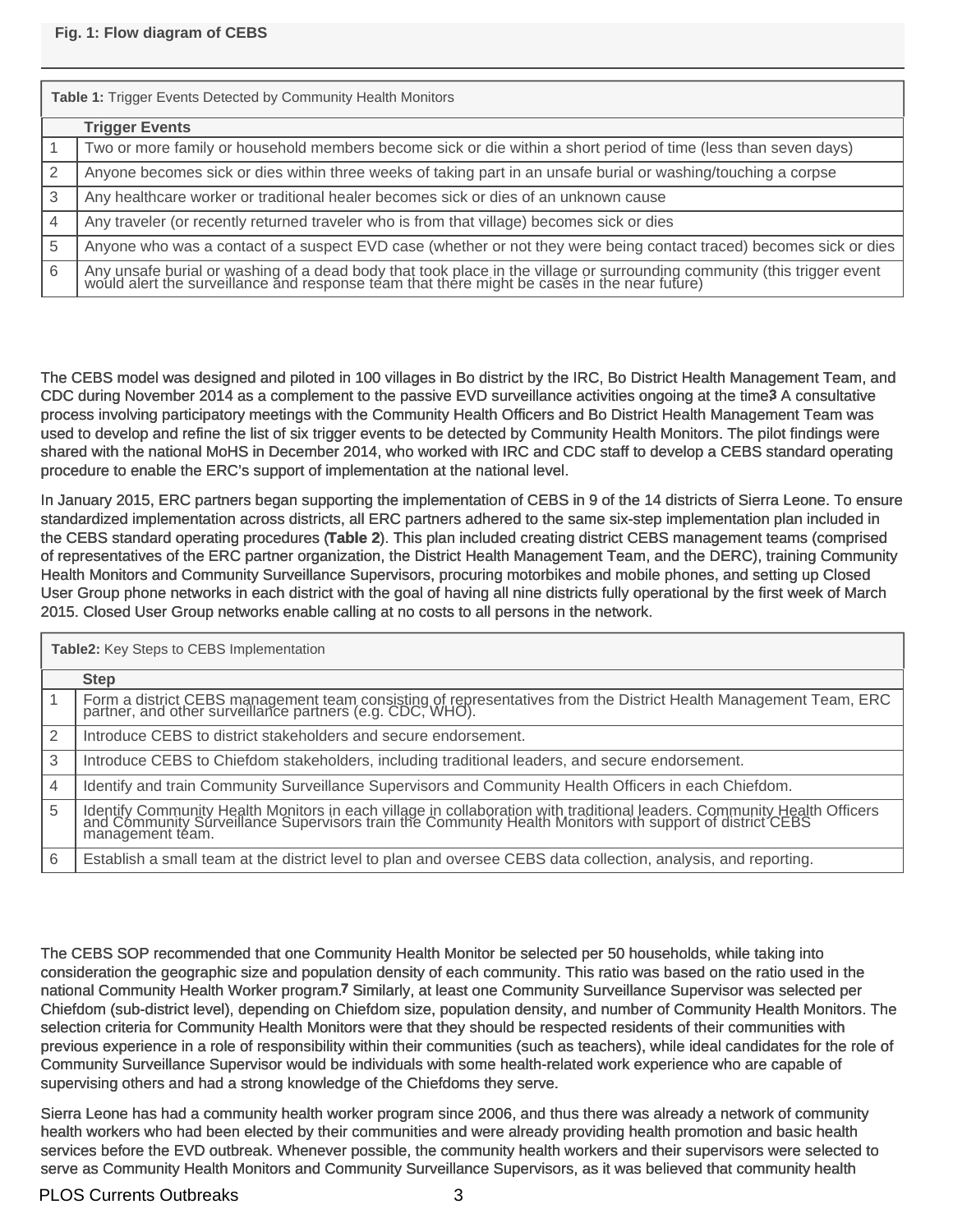| Table 1: Trigger Events Detected by Community Health Monitors |                                                                                                                                                                                                                         |  |  |  |  |
|---------------------------------------------------------------|-------------------------------------------------------------------------------------------------------------------------------------------------------------------------------------------------------------------------|--|--|--|--|
|                                                               | <b>Trigger Events</b>                                                                                                                                                                                                   |  |  |  |  |
|                                                               | Two or more family or household members become sick or die within a short period of time (less than seven days)                                                                                                         |  |  |  |  |
|                                                               | Anyone becomes sick or dies within three weeks of taking part in an unsafe burial or washing/touching a corpse                                                                                                          |  |  |  |  |
| 3                                                             | Any healthcare worker or traditional healer becomes sick or dies of an unknown cause                                                                                                                                    |  |  |  |  |
|                                                               | Any traveler (or recently returned traveler who is from that village) becomes sick or dies                                                                                                                              |  |  |  |  |
| 5                                                             | Anyone who was a contact of a suspect EVD case (whether or not they were being contact traced) becomes sick or dies                                                                                                     |  |  |  |  |
| 6                                                             | Any unsafe burial or washing of a dead body that took place in the village or surrounding community (this trigger event<br>would alert the surveillance and response team that there might be cases in the near future) |  |  |  |  |

The CEBS model was designed and piloted in 100 villages in Bo district by the IRC, Bo District Health Management Team, and CDC during November 2014 as a complement to the passive EVD surveillance activities ongoing at the time.**3** A consultative process involving participatory meetings with the Community Health Officers and Bo District Health Management Team was used to develop and refine the list of six trigger events to be detected by Community Health Monitors. The pilot findings were shared with the national MoHS in December 2014, who worked with IRC and CDC staff to develop a CEBS standard operating procedure to enable the ERC's support of implementation at the national level.

In January 2015, ERC partners began supporting the implementation of CEBS in 9 of the 14 districts of Sierra Leone. To ensure standardized implementation across districts, all ERC partners adhered to the same six-step implementation plan included in the CEBS standard operating procedures (**Table 2**). This plan included creating district CEBS management teams (comprised of representatives of the ERC partner organization, the District Health Management Team, and the DERC), training Community Health Monitors and Community Surveillance Supervisors, procuring motorbikes and mobile phones, and setting up Closed User Group phone networks in each district with the goal of having all nine districts fully operational by the first week of March 2015. Closed User Group networks enable calling at no costs to all persons in the network.

| <b>Table2:</b> Key Steps to CEBS Implementation |                                                                                                                                                                                                                                                    |  |  |  |  |
|-------------------------------------------------|----------------------------------------------------------------------------------------------------------------------------------------------------------------------------------------------------------------------------------------------------|--|--|--|--|
|                                                 | <b>Step</b>                                                                                                                                                                                                                                        |  |  |  |  |
|                                                 | Form a district CEBS management team consisting of representatives from the District Health Management Team, ERC partner, and other surveillance partners (e.g. CDC, WHO).                                                                         |  |  |  |  |
| 2                                               | Introduce CEBS to district stakeholders and secure endorsement.                                                                                                                                                                                    |  |  |  |  |
| 3                                               | Introduce CEBS to Chiefdom stakeholders, including traditional leaders, and secure endorsement.                                                                                                                                                    |  |  |  |  |
| $\overline{4}$                                  | Identify and train Community Surveillance Supervisors and Community Health Officers in each Chiefdom.                                                                                                                                              |  |  |  |  |
| 5                                               | Identify Community Health Monitors in each village in collaboration with traditional leaders. Community Health Officers and Community Surveillance Supervisors train the Community Health Monitors with support of district CE<br>management téam. |  |  |  |  |
| 6                                               | Establish a small team at the district level to plan and oversee CEBS data collection, analysis, and reporting.                                                                                                                                    |  |  |  |  |

The CEBS SOP recommended that one Community Health Monitor be selected per 50 households, while taking into consideration the geographic size and population density of each community. This ratio was based on the ratio used in the national Community Health Worker program.**7** Similarly, at least one Community Surveillance Supervisor was selected per Chiefdom (sub-district level), depending on Chiefdom size, population density, and number of Community Health Monitors. The selection criteria for Community Health Monitors were that they should be respected residents of their communities with previous experience in a role of responsibility within their communities (such as teachers), while ideal candidates for the role of Community Surveillance Supervisor would be individuals with some health-related work experience who are capable of supervising others and had a strong knowledge of the Chiefdoms they serve.

Sierra Leone has had a community health worker program since 2006, and thus there was already a network of community health workers who had been elected by their communities and were already providing health promotion and basic health services before the EVD outbreak. Whenever possible, the community health workers and their supervisors were selected to serve as Community Health Monitors and Community Surveillance Supervisors, as it was believed that community health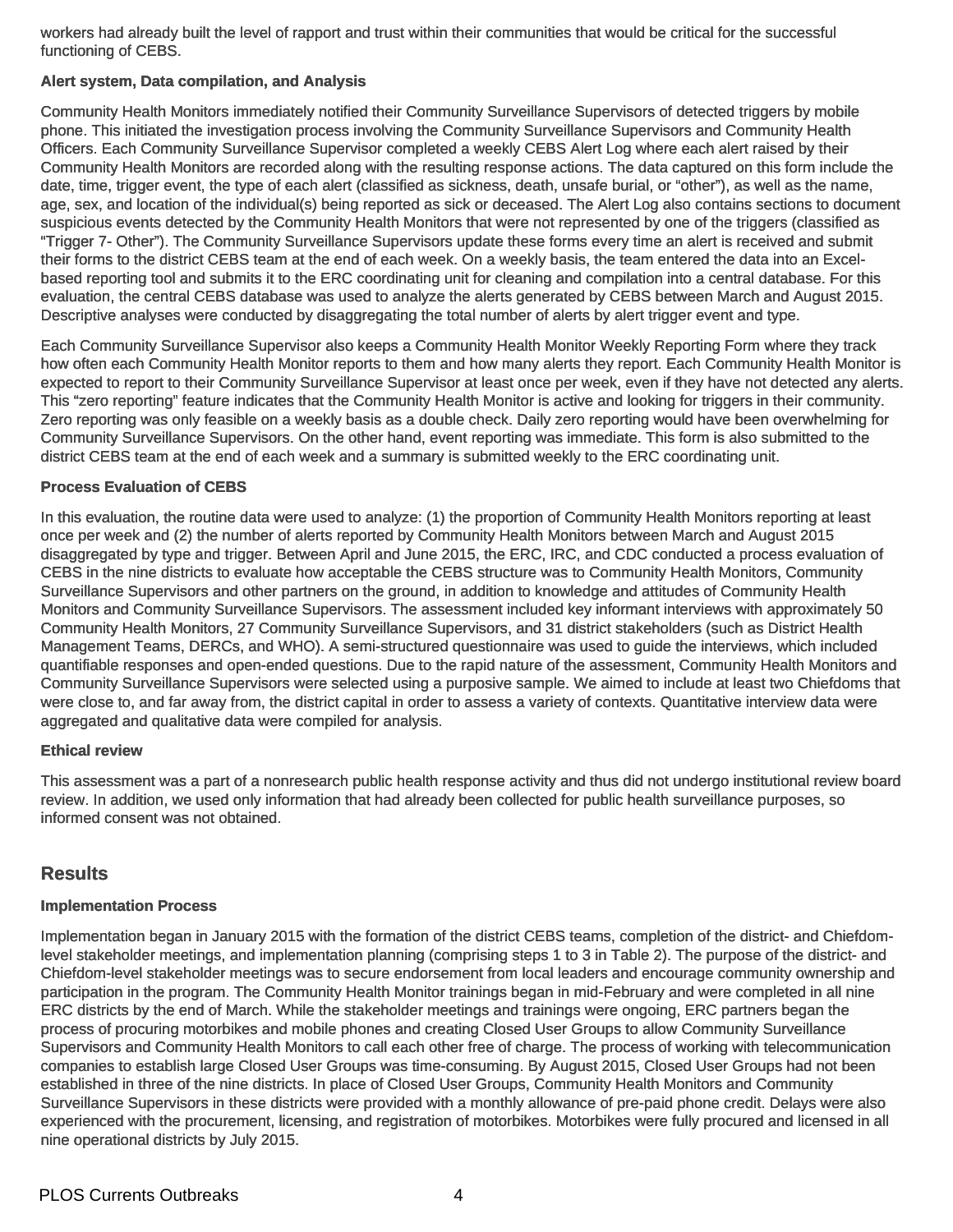workers had already built the level of rapport and trust within their communities that would be critical for the successful functioning of CEBS.

#### **Alert system, Data compilation, and Analysis**

Community Health Monitors immediately notified their Community Surveillance Supervisors of detected triggers by mobile phone. This initiated the investigation process involving the Community Surveillance Supervisors and Community Health Officers. Each Community Surveillance Supervisor completed a weekly CEBS Alert Log where each alert raised by their Community Health Monitors are recorded along with the resulting response actions. The data captured on this form include the date, time, trigger event, the type of each alert (classified as sickness, death, unsafe burial, or "other"), as well as the name, age, sex, and location of the individual(s) being reported as sick or deceased. The Alert Log also contains sections to document suspicious events detected by the Community Health Monitors that were not represented by one of the triggers (classified as "Trigger 7- Other"). The Community Surveillance Supervisors update these forms every time an alert is received and submit their forms to the district CEBS team at the end of each week. On a weekly basis, the team entered the data into an Excelbased reporting tool and submits it to the ERC coordinating unit for cleaning and compilation into a central database. For this evaluation, the central CEBS database was used to analyze the alerts generated by CEBS between March and August 2015. Descriptive analyses were conducted by disaggregating the total number of alerts by alert trigger event and type.

Each Community Surveillance Supervisor also keeps a Community Health Monitor Weekly Reporting Form where they track how often each Community Health Monitor reports to them and how many alerts they report. Each Community Health Monitor is expected to report to their Community Surveillance Supervisor at least once per week, even if they have not detected any alerts. This "zero reporting" feature indicates that the Community Health Monitor is active and looking for triggers in their community. Zero reporting was only feasible on a weekly basis as a double check. Daily zero reporting would have been overwhelming for Community Surveillance Supervisors. On the other hand, event reporting was immediate. This form is also submitted to the district CEBS team at the end of each week and a summary is submitted weekly to the ERC coordinating unit.

#### **Process Evaluation of CEBS**

In this evaluation, the routine data were used to analyze: (1) the proportion of Community Health Monitors reporting at least once per week and (2) the number of alerts reported by Community Health Monitors between March and August 2015 disaggregated by type and trigger. Between April and June 2015, the ERC, IRC, and CDC conducted a process evaluation of CEBS in the nine districts to evaluate how acceptable the CEBS structure was to Community Health Monitors, Community Surveillance Supervisors and other partners on the ground, in addition to knowledge and attitudes of Community Health Monitors and Community Surveillance Supervisors. The assessment included key informant interviews with approximately 50 Community Health Monitors, 27 Community Surveillance Supervisors, and 31 district stakeholders (such as District Health Management Teams, DERCs, and WHO). A semi-structured questionnaire was used to guide the interviews, which included quantifiable responses and open-ended questions. Due to the rapid nature of the assessment, Community Health Monitors and Community Surveillance Supervisors were selected using a purposive sample. We aimed to include at least two Chiefdoms that were close to, and far away from, the district capital in order to assess a variety of contexts. Quantitative interview data were aggregated and qualitative data were compiled for analysis.

#### **Ethical review**

This assessment was a part of a nonresearch public health response activity and thus did not undergo institutional review board review. In addition, we used only information that had already been collected for public health surveillance purposes, so informed consent was not obtained.

## **Results**

#### **Implementation Process**

Implementation began in January 2015 with the formation of the district CEBS teams, completion of the district- and Chiefdomlevel stakeholder meetings, and implementation planning (comprising steps 1 to 3 in Table 2). The purpose of the district- and Chiefdom-level stakeholder meetings was to secure endorsement from local leaders and encourage community ownership and participation in the program. The Community Health Monitor trainings began in mid-February and were completed in all nine ERC districts by the end of March. While the stakeholder meetings and trainings were ongoing, ERC partners began the process of procuring motorbikes and mobile phones and creating Closed User Groups to allow Community Surveillance Supervisors and Community Health Monitors to call each other free of charge. The process of working with telecommunication companies to establish large Closed User Groups was time-consuming. By August 2015, Closed User Groups had not been established in three of the nine districts. In place of Closed User Groups, Community Health Monitors and Community Surveillance Supervisors in these districts were provided with a monthly allowance of pre-paid phone credit. Delays were also experienced with the procurement, licensing, and registration of motorbikes. Motorbikes were fully procured and licensed in all nine operational districts by July 2015.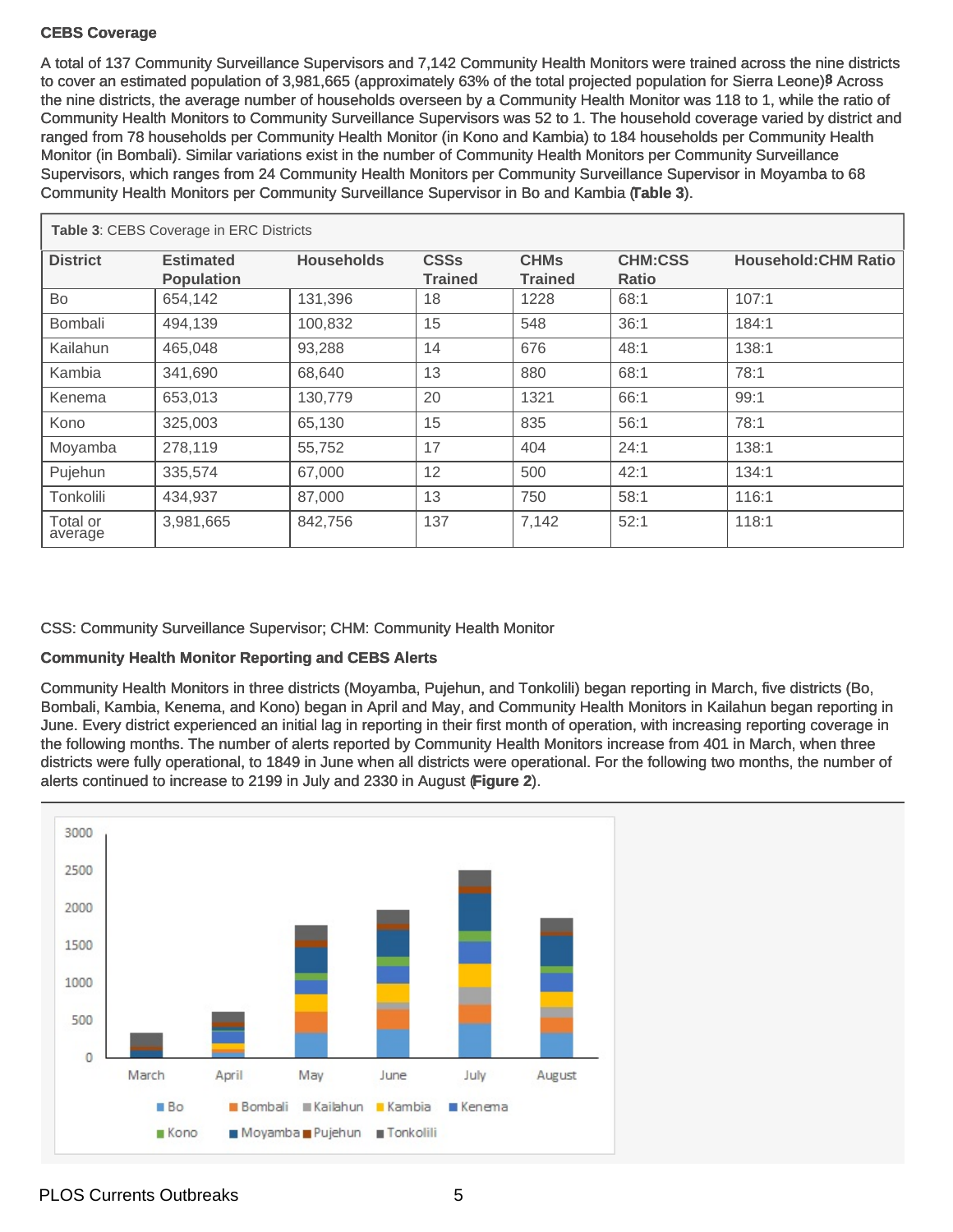#### **CEBS Coverage**

A total of 137 Community Surveillance Supervisors and 7,142 Community Health Monitors were trained across the nine districts to cover an estimated population of 3,981,665 (approximately 63% of the total projected population for Sierra Leone)<sup>8</sup> Across the nine districts, the average number of households overseen by a Community Health Monitor was 118 to 1, while the ratio of Community Health Monitors to Community Surveillance Supervisors was 52 to 1. The household coverage varied by district and ranged from 78 households per Community Health Monitor (in Kono and Kambia) to 184 households per Community Health Monitor (in Bombali). Similar variations exist in the number of Community Health Monitors per Community Surveillance Supervisors, which ranges from 24 Community Health Monitors per Community Surveillance Supervisor in Moyamba to 68 Community Health Monitors per Community Surveillance Supervisor in Bo and Kambia (**Table 3**).

| <b>Table 3: CEBS Coverage in ERC Districts</b> |                                       |                   |                               |                               |                                |                             |  |
|------------------------------------------------|---------------------------------------|-------------------|-------------------------------|-------------------------------|--------------------------------|-----------------------------|--|
| <b>District</b>                                | <b>Estimated</b><br><b>Population</b> | <b>Households</b> | <b>CSSs</b><br><b>Trained</b> | <b>CHMs</b><br><b>Trained</b> | <b>CHM:CSS</b><br><b>Ratio</b> | <b>Household: CHM Ratio</b> |  |
| Bo                                             | 654,142                               | 131,396           | 18                            | 1228                          | 68:1                           | 107:1                       |  |
| <b>Bombali</b>                                 | 494,139                               | 100,832           | 15                            | 548                           | 36:1                           | 184:1                       |  |
| Kailahun                                       | 465,048                               | 93,288            | 14                            | 676                           | 48:1                           | 138:1                       |  |
| Kambia                                         | 341,690                               | 68,640            | 13                            | 880                           | 68:1                           | 78:1                        |  |
| Kenema                                         | 653,013                               | 130,779           | 20                            | 1321                          | 66:1                           | 99:1                        |  |
| Kono                                           | 325,003                               | 65,130            | 15                            | 835                           | 56:1                           | 78:1                        |  |
| Moyamba                                        | 278,119                               | 55,752            | 17                            | 404                           | 24:1                           | 138:1                       |  |
| Pujehun                                        | 335,574                               | 67,000            | 12                            | 500                           | 42:1                           | 134:1                       |  |
| Tonkolili                                      | 434,937                               | 87,000            | 13                            | 750                           | 58:1                           | 116:1                       |  |
| Total or<br>average                            | 3,981,665                             | 842,756           | 137                           | 7,142                         | 52:1                           | 118:1                       |  |

CSS: Community Surveillance Supervisor; CHM: Community Health Monitor

#### **Community Health Monitor Reporting and CEBS Alerts**

Community Health Monitors in three districts (Moyamba, Pujehun, and Tonkolili) began reporting in March, five districts (Bo, Bombali, Kambia, Kenema, and Kono) began in April and May, and Community Health Monitors in Kailahun began reporting in June. Every district experienced an initial lag in reporting in their first month of operation, with increasing reporting coverage in the following months. The number of alerts reported by Community Health Monitors increase from 401 in March, when three districts were fully operational, to 1849 in June when all districts were operational. For the following two months, the number of alerts continued to increase to 2199 in July and 2330 in August (**Figure 2**).

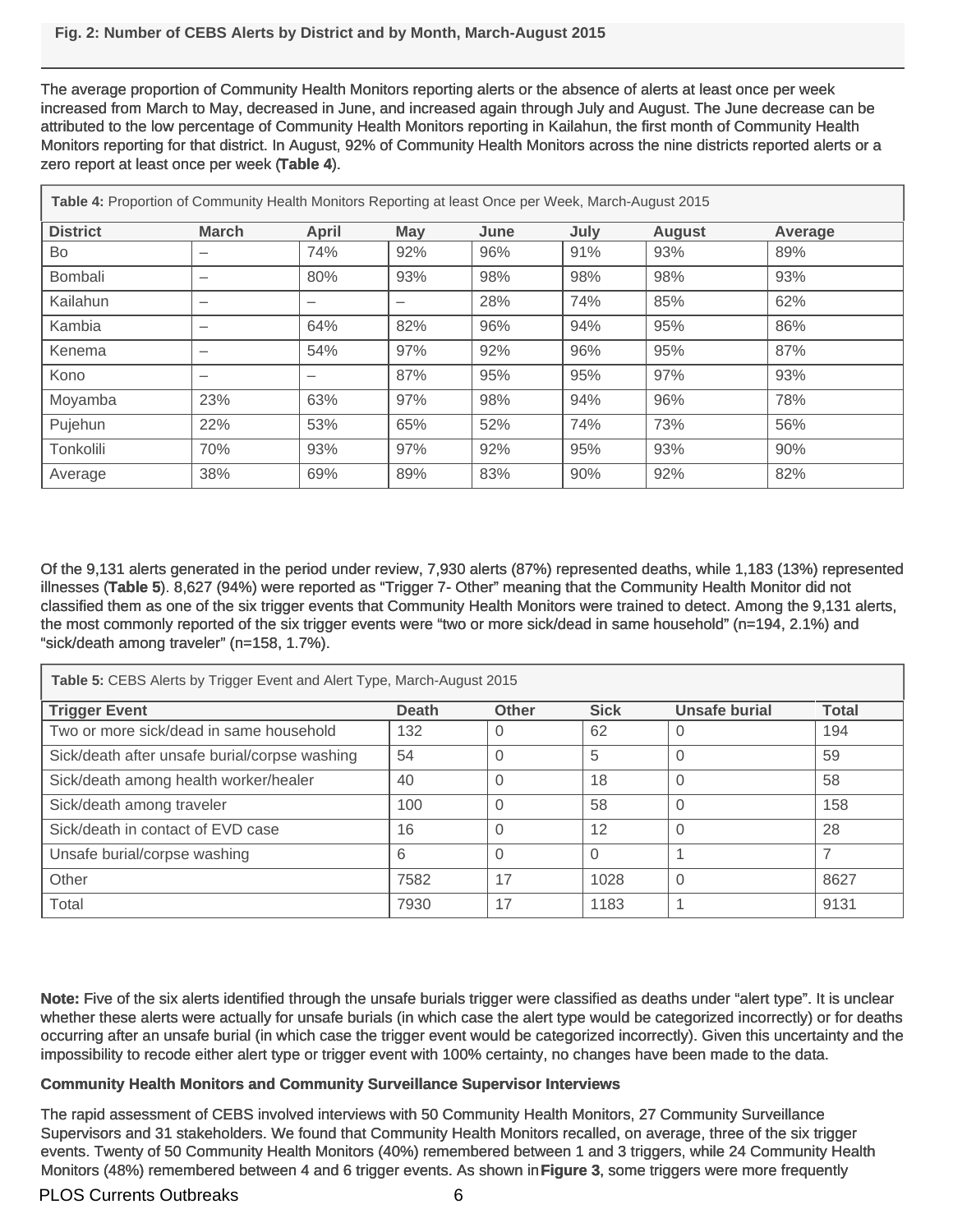The average proportion of Community Health Monitors reporting alerts or the absence of alerts at least once per week increased from March to May, decreased in June, and increased again through July and August. The June decrease can be attributed to the low percentage of Community Health Monitors reporting in Kailahun, the first month of Community Health Monitors reporting for that district. In August, 92% of Community Health Monitors across the nine districts reported alerts or a zero report at least once per week (**Table 4**).

| Table 4: Proportion of Community Health Monitors Reporting at least Once per Week, March-August 2015 |              |       |     |      |      |               |         |  |
|------------------------------------------------------------------------------------------------------|--------------|-------|-----|------|------|---------------|---------|--|
| <b>District</b>                                                                                      | <b>March</b> | April | May | June | July | <b>August</b> | Average |  |
| Bo                                                                                                   |              | 74%   | 92% | 96%  | 91%  | 93%           | 89%     |  |
| <b>Bombali</b>                                                                                       | —            | 80%   | 93% | 98%  | 98%  | 98%           | 93%     |  |
| Kailahun                                                                                             | —            |       |     | 28%  | 74%  | 85%           | 62%     |  |
| Kambia                                                                                               | —            | 64%   | 82% | 96%  | 94%  | 95%           | 86%     |  |
| Kenema                                                                                               |              | 54%   | 97% | 92%  | 96%  | 95%           | 87%     |  |
| Kono                                                                                                 | —            |       | 87% | 95%  | 95%  | 97%           | 93%     |  |
| Moyamba                                                                                              | 23%          | 63%   | 97% | 98%  | 94%  | 96%           | 78%     |  |
| Pujehun                                                                                              | 22%          | 53%   | 65% | 52%  | 74%  | 73%           | 56%     |  |
| Tonkolili                                                                                            | 70%          | 93%   | 97% | 92%  | 95%  | 93%           | 90%     |  |
| Average                                                                                              | 38%          | 69%   | 89% | 83%  | 90%  | 92%           | 82%     |  |

Of the 9,131 alerts generated in the period under review, 7,930 alerts (87%) represented deaths, while 1,183 (13%) represented illnesses (**Table 5**). 8,627 (94%) were reported as "Trigger 7- Other" meaning that the Community Health Monitor did not classified them as one of the six trigger events that Community Health Monitors were trained to detect. Among the 9,131 alerts, the most commonly reported of the six trigger events were "two or more sick/dead in same household" (n=194, 2.1%) and "sick/death among traveler" (n=158, 1.7%).

| Table 5: CEBS Alerts by Trigger Event and Alert Type, March-August 2015 |              |              |             |               |              |  |  |  |
|-------------------------------------------------------------------------|--------------|--------------|-------------|---------------|--------------|--|--|--|
| <b>Trigger Event</b>                                                    | <b>Death</b> | <b>Other</b> | <b>Sick</b> | Unsafe burial | <b>Total</b> |  |  |  |
| Two or more sick/dead in same household                                 | 132          | 0            | 62          | U             | 194          |  |  |  |
| Sick/death after unsafe burial/corpse washing                           | 54           | $\Omega$     | 5           | 0             | 59           |  |  |  |
| Sick/death among health worker/healer                                   | 40           | $\Omega$     | 18          | 0             | 58           |  |  |  |
| Sick/death among traveler                                               | 100          | 0            | 58          |               | 158          |  |  |  |
| Sick/death in contact of EVD case                                       | 16           | $\Omega$     | 12          | 0             | 28           |  |  |  |
| Unsafe burial/corpse washing                                            | 6            | $\Omega$     | $\Omega$    |               | 7            |  |  |  |
| Other                                                                   | 7582         | 17           | 1028        | 0             | 8627         |  |  |  |
| Total                                                                   | 7930         | 17           | 1183        |               | 9131         |  |  |  |

**Note:** Five of the six alerts identified through the unsafe burials trigger were classified as deaths under "alert type". It is unclear whether these alerts were actually for unsafe burials (in which case the alert type would be categorized incorrectly) or for deaths occurring after an unsafe burial (in which case the trigger event would be categorized incorrectly). Given this uncertainty and the impossibility to recode either alert type or trigger event with 100% certainty, no changes have been made to the data.

#### **Community Health Monitors and Community Surveillance Supervisor Interviews**

The rapid assessment of CEBS involved interviews with 50 Community Health Monitors, 27 Community Surveillance Supervisors and 31 stakeholders. We found that Community Health Monitors recalled, on average, three of the six trigger events. Twenty of 50 Community Health Monitors (40%) remembered between 1 and 3 triggers, while 24 Community Health Monitors (48%) remembered between 4 and 6 trigger events. As shown in **Figure 3**, some triggers were more frequently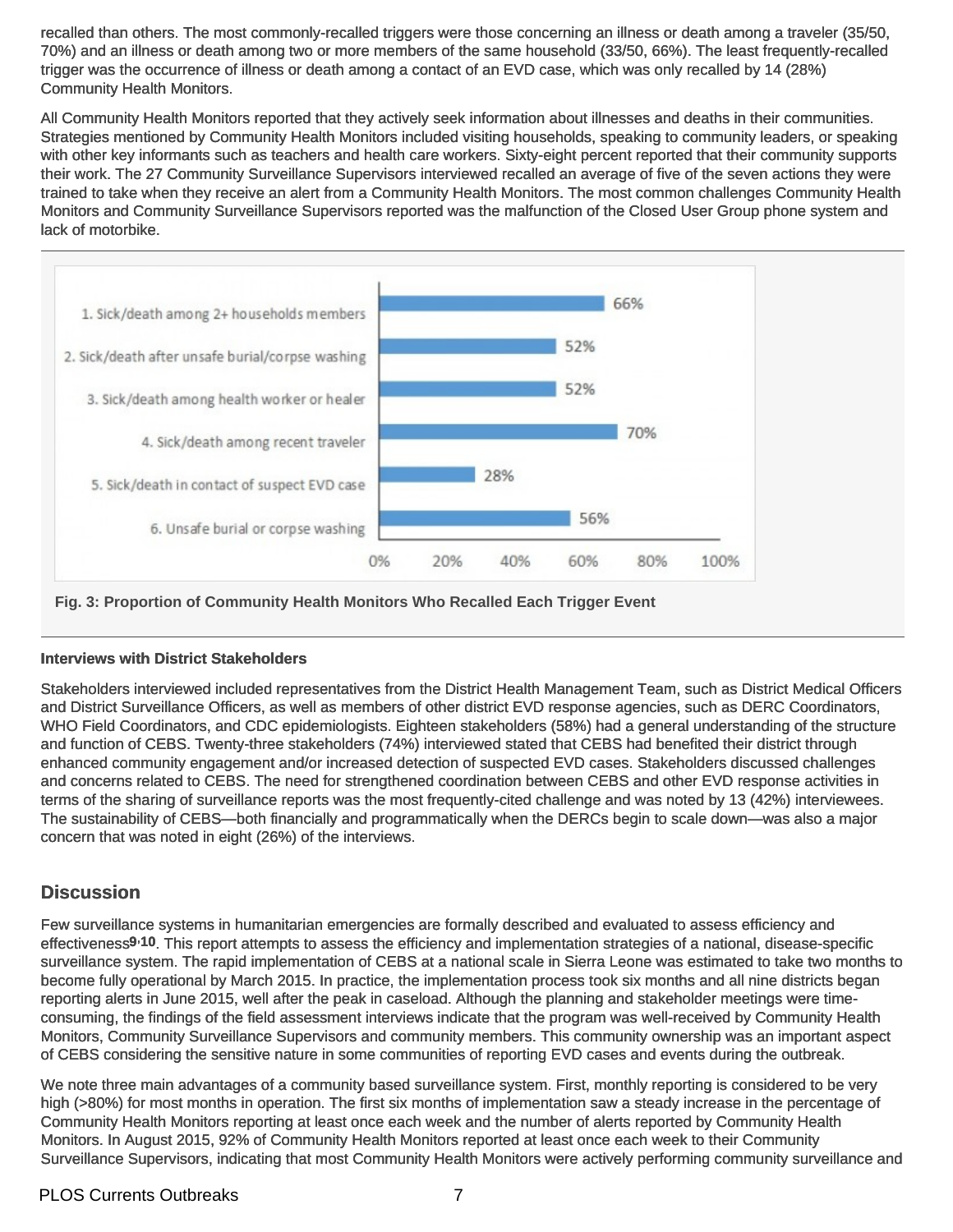recalled than others. The most commonly-recalled triggers were those concerning an illness or death among a traveler (35/50, 70%) and an illness or death among two or more members of the same household (33/50, 66%). The least frequently-recalled trigger was the occurrence of illness or death among a contact of an EVD case, which was only recalled by 14 (28%) Community Health Monitors.

All Community Health Monitors reported that they actively seek information about illnesses and deaths in their communities. Strategies mentioned by Community Health Monitors included visiting households, speaking to community leaders, or speaking with other key informants such as teachers and health care workers. Sixty-eight percent reported that their community supports their work. The 27 Community Surveillance Supervisors interviewed recalled an average of five of the seven actions they were trained to take when they receive an alert from a Community Health Monitors. The most common challenges Community Health Monitors and Community Surveillance Supervisors reported was the malfunction of the Closed User Group phone system and lack of motorbike.



**Fig. 3: Proportion of Community Health Monitors Who Recalled Each Trigger Event**

#### **Interviews with District Stakeholders**

Stakeholders interviewed included representatives from the District Health Management Team, such as District Medical Officers and District Surveillance Officers, as well as members of other district EVD response agencies, such as DERC Coordinators, WHO Field Coordinators, and CDC epidemiologists. Eighteen stakeholders (58%) had a general understanding of the structure and function of CEBS. Twenty-three stakeholders (74%) interviewed stated that CEBS had benefited their district through enhanced community engagement and/or increased detection of suspected EVD cases. Stakeholders discussed challenges and concerns related to CEBS. The need for strengthened coordination between CEBS and other EVD response activities in terms of the sharing of surveillance reports was the most frequently-cited challenge and was noted by 13 (42%) interviewees. The sustainability of CEBS—both financially and programmatically when the DERCs begin to scale down—was also a major concern that was noted in eight (26%) of the interviews.

# **Discussion**

Few surveillance systems in humanitarian emergencies are formally described and evaluated to assess efficiency and effectiveness**9**,**10**. This report attempts to assess the efficiency and implementation strategies of a national, disease-specific surveillance system. The rapid implementation of CEBS at a national scale in Sierra Leone was estimated to take two months to become fully operational by March 2015. In practice, the implementation process took six months and all nine districts began reporting alerts in June 2015, well after the peak in caseload. Although the planning and stakeholder meetings were timeconsuming, the findings of the field assessment interviews indicate that the program was well-received by Community Health Monitors, Community Surveillance Supervisors and community members. This community ownership was an important aspect of CEBS considering the sensitive nature in some communities of reporting EVD cases and events during the outbreak.

We note three main advantages of a community based surveillance system. First, monthly reporting is considered to be very high (>80%) for most months in operation. The first six months of implementation saw a steady increase in the percentage of Community Health Monitors reporting at least once each week and the number of alerts reported by Community Health Monitors. In August 2015, 92% of Community Health Monitors reported at least once each week to their Community Surveillance Supervisors, indicating that most Community Health Monitors were actively performing community surveillance and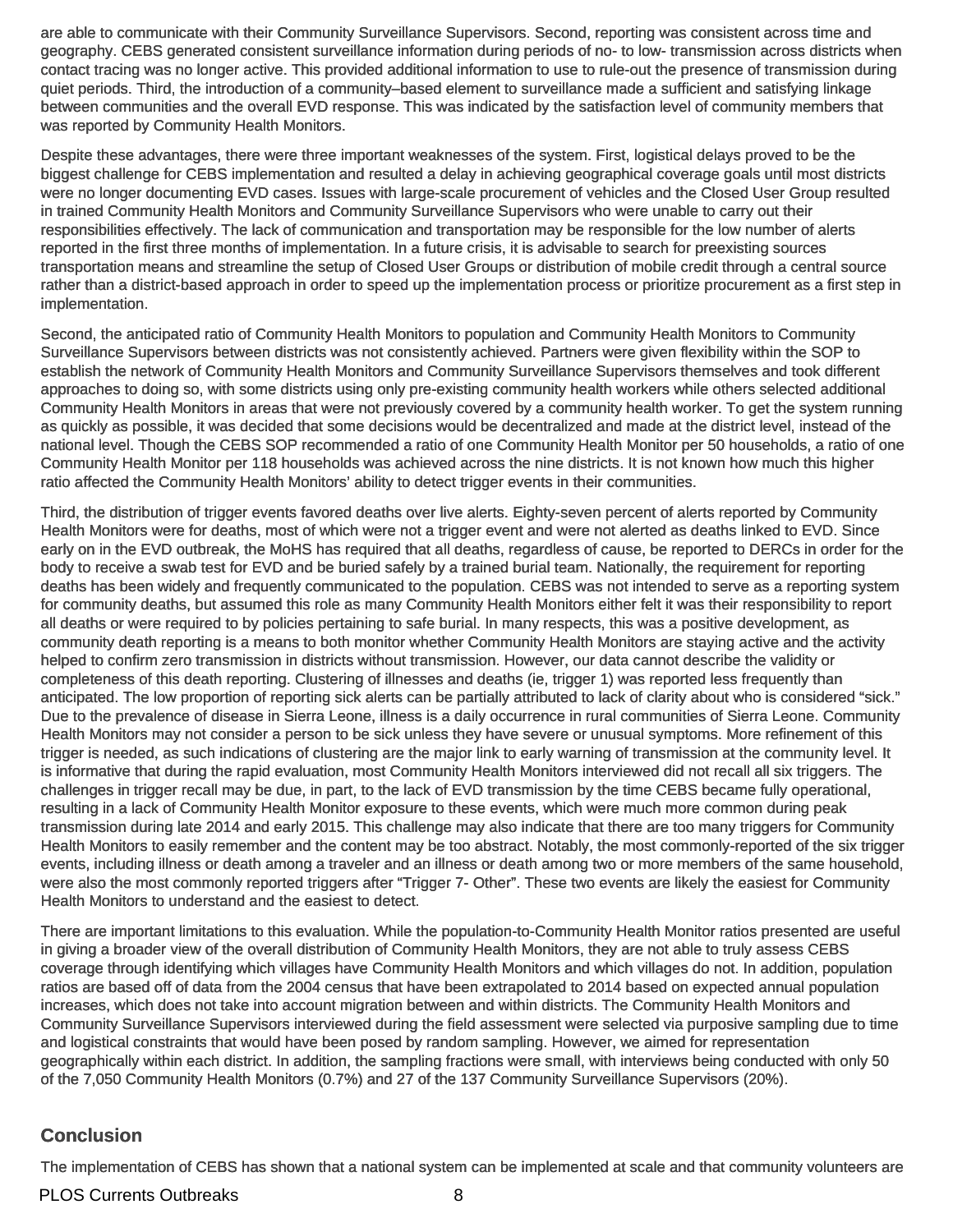are able to communicate with their Community Surveillance Supervisors. Second, reporting was consistent across time and geography. CEBS generated consistent surveillance information during periods of no- to low- transmission across districts when contact tracing was no longer active. This provided additional information to use to rule-out the presence of transmission during quiet periods. Third, the introduction of a community–based element to surveillance made a sufficient and satisfying linkage between communities and the overall EVD response. This was indicated by the satisfaction level of community members that was reported by Community Health Monitors.

Despite these advantages, there were three important weaknesses of the system. First, logistical delays proved to be the biggest challenge for CEBS implementation and resulted a delay in achieving geographical coverage goals until most districts were no longer documenting EVD cases. Issues with large-scale procurement of vehicles and the Closed User Group resulted in trained Community Health Monitors and Community Surveillance Supervisors who were unable to carry out their responsibilities effectively. The lack of communication and transportation may be responsible for the low number of alerts reported in the first three months of implementation. In a future crisis, it is advisable to search for preexisting sources transportation means and streamline the setup of Closed User Groups or distribution of mobile credit through a central source rather than a district-based approach in order to speed up the implementation process or prioritize procurement as a first step in implementation.

Second, the anticipated ratio of Community Health Monitors to population and Community Health Monitors to Community Surveillance Supervisors between districts was not consistently achieved. Partners were given flexibility within the SOP to establish the network of Community Health Monitors and Community Surveillance Supervisors themselves and took different approaches to doing so, with some districts using only pre-existing community health workers while others selected additional Community Health Monitors in areas that were not previously covered by a community health worker. To get the system running as quickly as possible, it was decided that some decisions would be decentralized and made at the district level, instead of the national level. Though the CEBS SOP recommended a ratio of one Community Health Monitor per 50 households, a ratio of one Community Health Monitor per 118 households was achieved across the nine districts. It is not known how much this higher ratio affected the Community Health Monitors' ability to detect trigger events in their communities.

Third, the distribution of trigger events favored deaths over live alerts. Eighty-seven percent of alerts reported by Community Health Monitors were for deaths, most of which were not a trigger event and were not alerted as deaths linked to EVD. Since early on in the EVD outbreak, the MoHS has required that all deaths, regardless of cause, be reported to DERCs in order for the body to receive a swab test for EVD and be buried safely by a trained burial team. Nationally, the requirement for reporting deaths has been widely and frequently communicated to the population. CEBS was not intended to serve as a reporting system for community deaths, but assumed this role as many Community Health Monitors either felt it was their responsibility to report all deaths or were required to by policies pertaining to safe burial. In many respects, this was a positive development, as community death reporting is a means to both monitor whether Community Health Monitors are staying active and the activity helped to confirm zero transmission in districts without transmission. However, our data cannot describe the validity or completeness of this death reporting. Clustering of illnesses and deaths (ie, trigger 1) was reported less frequently than anticipated. The low proportion of reporting sick alerts can be partially attributed to lack of clarity about who is considered "sick." Due to the prevalence of disease in Sierra Leone, illness is a daily occurrence in rural communities of Sierra Leone. Community Health Monitors may not consider a person to be sick unless they have severe or unusual symptoms. More refinement of this trigger is needed, as such indications of clustering are the major link to early warning of transmission at the community level. It is informative that during the rapid evaluation, most Community Health Monitors interviewed did not recall all six triggers. The challenges in trigger recall may be due, in part, to the lack of EVD transmission by the time CEBS became fully operational, resulting in a lack of Community Health Monitor exposure to these events, which were much more common during peak transmission during late 2014 and early 2015. This challenge may also indicate that there are too many triggers for Community Health Monitors to easily remember and the content may be too abstract. Notably, the most commonly-reported of the six trigger events, including illness or death among a traveler and an illness or death among two or more members of the same household, were also the most commonly reported triggers after "Trigger 7- Other". These two events are likely the easiest for Community Health Monitors to understand and the easiest to detect.

There are important limitations to this evaluation. While the population-to-Community Health Monitor ratios presented are useful in giving a broader view of the overall distribution of Community Health Monitors, they are not able to truly assess CEBS coverage through identifying which villages have Community Health Monitors and which villages do not. In addition, population ratios are based off of data from the 2004 census that have been extrapolated to 2014 based on expected annual population increases, which does not take into account migration between and within districts. The Community Health Monitors and Community Surveillance Supervisors interviewed during the field assessment were selected via purposive sampling due to time and logistical constraints that would have been posed by random sampling. However, we aimed for representation geographically within each district. In addition, the sampling fractions were small, with interviews being conducted with only 50 of the 7,050 Community Health Monitors (0.7%) and 27 of the 137 Community Surveillance Supervisors (20%).

# **Conclusion**

The implementation of CEBS has shown that a national system can be implemented at scale and that community volunteers are